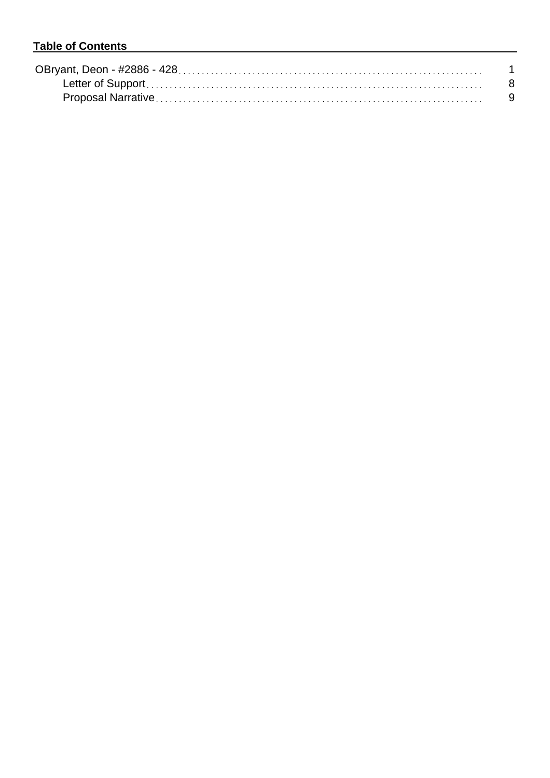## **Table of Contents**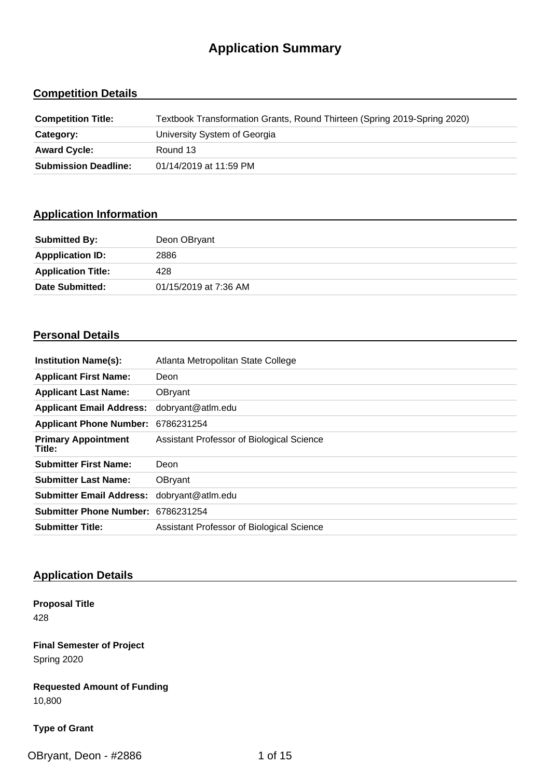# **Application Summary**

## **Competition Details**

| <b>Competition Title:</b>   | Textbook Transformation Grants, Round Thirteen (Spring 2019-Spring 2020) |
|-----------------------------|--------------------------------------------------------------------------|
| Category:                   | University System of Georgia                                             |
| <b>Award Cycle:</b>         | Round 13                                                                 |
| <b>Submission Deadline:</b> | 01/14/2019 at 11:59 PM                                                   |

## **Application Information**

| <b>Submitted By:</b>      | Deon OBryant          |
|---------------------------|-----------------------|
| <b>Appplication ID:</b>   | 2886                  |
| <b>Application Title:</b> | 428                   |
| Date Submitted:           | 01/15/2019 at 7:36 AM |

### **Personal Details**

| <b>Institution Name(s):</b>          | Atlanta Metropolitan State College        |
|--------------------------------------|-------------------------------------------|
| <b>Applicant First Name:</b>         | Deon                                      |
| <b>Applicant Last Name:</b>          | OBryant                                   |
| <b>Applicant Email Address:</b>      | dobryant@atlm.edu                         |
| <b>Applicant Phone Number:</b>       | 6786231254                                |
| <b>Primary Appointment</b><br>Title: | Assistant Professor of Biological Science |
| <b>Submitter First Name:</b>         | Deon                                      |
| <b>Submitter Last Name:</b>          | OBryant                                   |
| <b>Submitter Email Address:</b>      | dobryant@atlm.edu                         |
| Submitter Phone Number: 6786231254   |                                           |
| <b>Submitter Title:</b>              | Assistant Professor of Biological Science |

## **Application Details**

**Proposal Title** 428

**Final Semester of Project** Spring 2020

**Requested Amount of Funding** 10,800

#### **Type of Grant**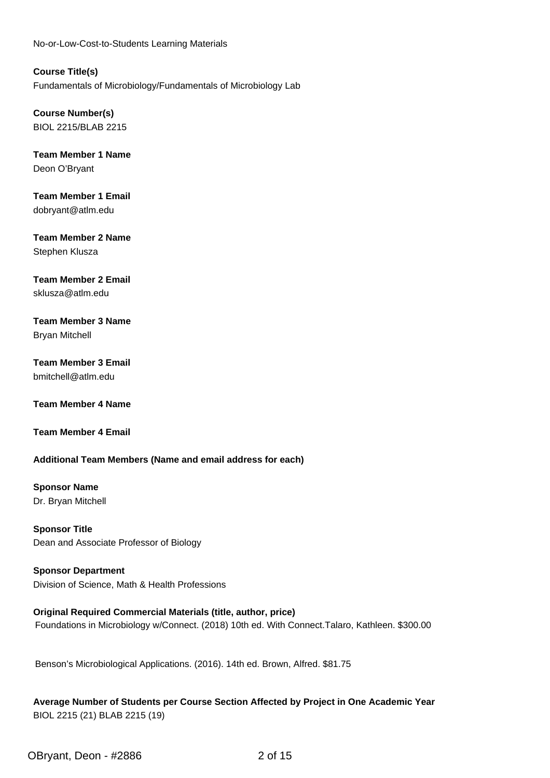No-or-Low-Cost-to-Students Learning Materials

**Course Title(s)** Fundamentals of Microbiology/Fundamentals of Microbiology Lab

**Course Number(s)** BIOL 2215/BLAB 2215

**Team Member 1 Name** Deon O'Bryant

**Team Member 1 Email** dobryant@atlm.edu

**Team Member 2 Name** Stephen Klusza

## **Team Member 2 Email**

sklusza@atlm.edu

**Team Member 3 Name** Bryan Mitchell

#### **Team Member 3 Email** bmitchell@atlm.edu

**Team Member 4 Name**

**Team Member 4 Email**

#### **Additional Team Members (Name and email address for each)**

**Sponsor Name** Dr. Bryan Mitchell

**Sponsor Title** Dean and Associate Professor of Biology

**Sponsor Department** Division of Science, Math & Health Professions

**Original Required Commercial Materials (title, author, price)** Foundations in Microbiology w/Connect. (2018) 10th ed. With Connect.Talaro, Kathleen. \$300.00

Benson's Microbiological Applications. (2016). 14th ed. Brown, Alfred. \$81.75

**Average Number of Students per Course Section Affected by Project in One Academic Year** BIOL 2215 (21) BLAB 2215 (19)

OBryant, Deon - #2886 2 of 15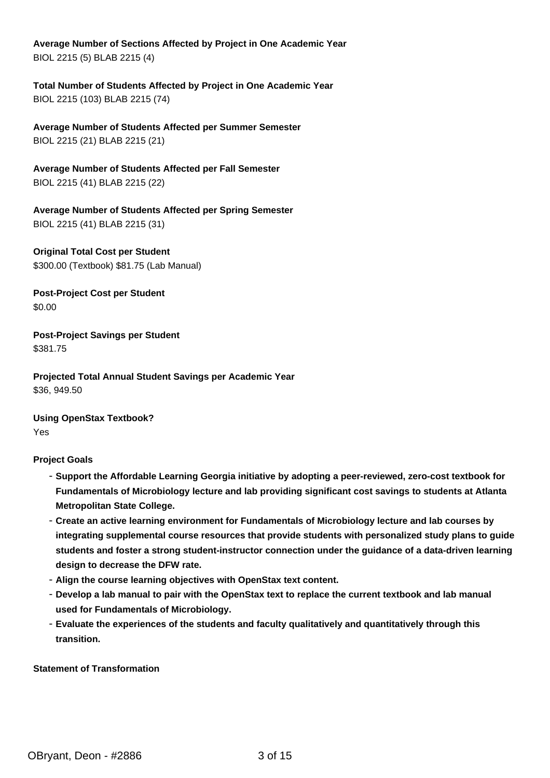**Average Number of Sections Affected by Project in One Academic Year** BIOL 2215 (5) BLAB 2215 (4)

**Total Number of Students Affected by Project in One Academic Year** BIOL 2215 (103) BLAB 2215 (74)

**Average Number of Students Affected per Summer Semester** BIOL 2215 (21) BLAB 2215 (21)

**Average Number of Students Affected per Fall Semester** BIOL 2215 (41) BLAB 2215 (22)

**Average Number of Students Affected per Spring Semester** BIOL 2215 (41) BLAB 2215 (31)

**Original Total Cost per Student** \$300.00 (Textbook) \$81.75 (Lab Manual)

**Post-Project Cost per Student** \$0.00

**Post-Project Savings per Student** \$381.75

**Projected Total Annual Student Savings per Academic Year** \$36, 949.50

**Using OpenStax Textbook?** Yes

#### **Project Goals**

- **Support the Affordable Learning Georgia initiative by adopting a peer-reviewed, zero-cost textbook for Fundamentals of Microbiology lecture and lab providing significant cost savings to students at Atlanta Metropolitan State College.**
- **Create an active learning environment for Fundamentals of Microbiology lecture and lab courses by integrating supplemental course resources that provide students with personalized study plans to guide students and foster a strong student-instructor connection under the guidance of a data-driven learning design to decrease the DFW rate.**
- **Align the course learning objectives with OpenStax text content.**
- **Develop a lab manual to pair with the OpenStax text to replace the current textbook and lab manual used for Fundamentals of Microbiology.**
- **Evaluate the experiences of the students and faculty qualitatively and quantitatively through this transition.**

**Statement of Transformation**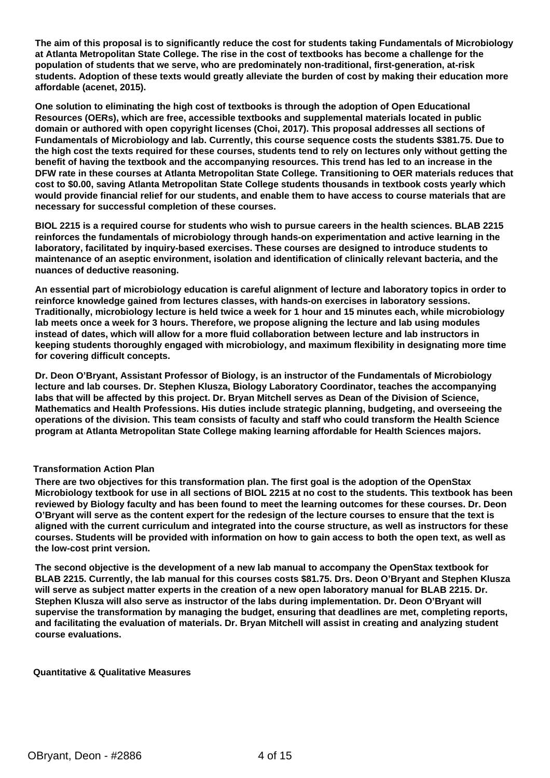**The aim of this proposal is to significantly reduce the cost for students taking Fundamentals of Microbiology at Atlanta Metropolitan State College. The rise in the cost of textbooks has become a challenge for the population of students that we serve, who are predominately non-traditional, first-generation, at-risk students. Adoption of these texts would greatly alleviate the burden of cost by making their education more affordable (acenet, 2015).**

**One solution to eliminating the high cost of textbooks is through the adoption of Open Educational Resources (OERs), which are free, accessible textbooks and supplemental materials located in public domain or authored with open copyright licenses (Choi, 2017). This proposal addresses all sections of Fundamentals of Microbiology and lab. Currently, this course sequence costs the students \$381.75. Due to the high cost the texts required for these courses, students tend to rely on lectures only without getting the benefit of having the textbook and the accompanying resources. This trend has led to an increase in the DFW rate in these courses at Atlanta Metropolitan State College. Transitioning to OER materials reduces that cost to \$0.00, saving Atlanta Metropolitan State College students thousands in textbook costs yearly which would provide financial relief for our students, and enable them to have access to course materials that are necessary for successful completion of these courses.**

**BIOL 2215 is a required course for students who wish to pursue careers in the health sciences. BLAB 2215 reinforces the fundamentals of microbiology through hands-on experimentation and active learning in the laboratory, facilitated by inquiry-based exercises. These courses are designed to introduce students to maintenance of an aseptic environment, isolation and identification of clinically relevant bacteria, and the nuances of deductive reasoning.**

**An essential part of microbiology education is careful alignment of lecture and laboratory topics in order to reinforce knowledge gained from lectures classes, with hands-on exercises in laboratory sessions. Traditionally, microbiology lecture is held twice a week for 1 hour and 15 minutes each, while microbiology lab meets once a week for 3 hours. Therefore, we propose aligning the lecture and lab using modules instead of dates, which will allow for a more fluid collaboration between lecture and lab instructors in keeping students thoroughly engaged with microbiology, and maximum flexibility in designating more time for covering difficult concepts.**

**Dr. Deon O'Bryant, Assistant Professor of Biology, is an instructor of the Fundamentals of Microbiology lecture and lab courses. Dr. Stephen Klusza, Biology Laboratory Coordinator, teaches the accompanying labs that will be affected by this project. Dr. Bryan Mitchell serves as Dean of the Division of Science, Mathematics and Health Professions. His duties include strategic planning, budgeting, and overseeing the operations of the division. This team consists of faculty and staff who could transform the Health Science program at Atlanta Metropolitan State College making learning affordable for Health Sciences majors.**

#### **Transformation Action Plan**

**There are two objectives for this transformation plan. The first goal is the adoption of the OpenStax Microbiology textbook for use in all sections of BIOL 2215 at no cost to the students. This textbook has been reviewed by Biology faculty and has been found to meet the learning outcomes for these courses. Dr. Deon O'Bryant will serve as the content expert for the redesign of the lecture courses to ensure that the text is aligned with the current curriculum and integrated into the course structure, as well as instructors for these courses. Students will be provided with information on how to gain access to both the open text, as well as the low-cost print version.**

**The second objective is the development of a new lab manual to accompany the OpenStax textbook for BLAB 2215. Currently, the lab manual for this courses costs \$81.75. Drs. Deon O'Bryant and Stephen Klusza will serve as subject matter experts in the creation of a new open laboratory manual for BLAB 2215. Dr. Stephen Klusza will also serve as instructor of the labs during implementation. Dr. Deon O'Bryant will supervise the transformation by managing the budget, ensuring that deadlines are met, completing reports, and facilitating the evaluation of materials. Dr. Bryan Mitchell will assist in creating and analyzing student course evaluations.**

#### **Quantitative & Qualitative Measures**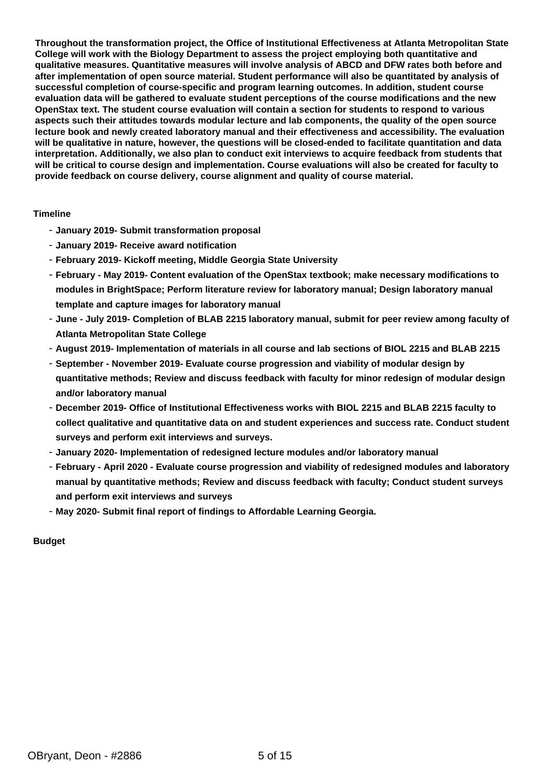**Throughout the transformation project, the Office of Institutional Effectiveness at Atlanta Metropolitan State College will work with the Biology Department to assess the project employing both quantitative and qualitative measures. Quantitative measures will involve analysis of ABCD and DFW rates both before and after implementation of open source material. Student performance will also be quantitated by analysis of successful completion of course-specific and program learning outcomes. In addition, student course evaluation data will be gathered to evaluate student perceptions of the course modifications and the new OpenStax text. The student course evaluation will contain a section for students to respond to various aspects such their attitudes towards modular lecture and lab components, the quality of the open source lecture book and newly created laboratory manual and their effectiveness and accessibility. The evaluation will be qualitative in nature, however, the questions will be closed-ended to facilitate quantitation and data interpretation. Additionally, we also plan to conduct exit interviews to acquire feedback from students that will be critical to course design and implementation. Course evaluations will also be created for faculty to provide feedback on course delivery, course alignment and quality of course material.**

#### **Timeline**

- **January 2019- Submit transformation proposal**
- **January 2019- Receive award notification**
- **February 2019- Kickoff meeting, Middle Georgia State University**
- **February May 2019- Content evaluation of the OpenStax textbook; make necessary modifications to modules in BrightSpace; Perform literature review for laboratory manual; Design laboratory manual template and capture images for laboratory manual**
- **June July 2019- Completion of BLAB 2215 laboratory manual, submit for peer review among faculty of Atlanta Metropolitan State College**
- **August 2019- Implementation of materials in all course and lab sections of BIOL 2215 and BLAB 2215**
- **September November 2019- Evaluate course progression and viability of modular design by quantitative methods; Review and discuss feedback with faculty for minor redesign of modular design and/or laboratory manual**
- **December 2019- Office of Institutional Effectiveness works with BIOL 2215 and BLAB 2215 faculty to collect qualitative and quantitative data on and student experiences and success rate. Conduct student surveys and perform exit interviews and surveys.**
- **January 2020- Implementation of redesigned lecture modules and/or laboratory manual**
- **February April 2020 Evaluate course progression and viability of redesigned modules and laboratory manual by quantitative methods; Review and discuss feedback with faculty; Conduct student surveys and perform exit interviews and surveys**
- **May 2020- Submit final report of findings to Affordable Learning Georgia.**

#### **Budget**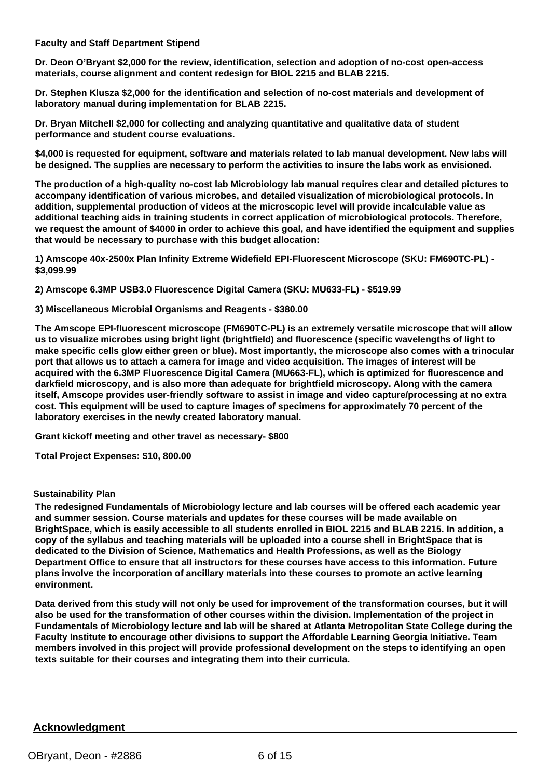#### **Faculty and Staff Department Stipend**

**Dr. Deon O'Bryant \$2,000 for the review, identification, selection and adoption of no-cost open-access materials, course alignment and content redesign for BIOL 2215 and BLAB 2215.**

**Dr. Stephen Klusza \$2,000 for the identification and selection of no-cost materials and development of laboratory manual during implementation for BLAB 2215.**

**Dr. Bryan Mitchell \$2,000 for collecting and analyzing quantitative and qualitative data of student performance and student course evaluations.**

**\$4,000 is requested for equipment, software and materials related to lab manual development. New labs will be designed. The supplies are necessary to perform the activities to insure the labs work as envisioned.**

**The production of a high-quality no-cost lab Microbiology lab manual requires clear and detailed pictures to accompany identification of various microbes, and detailed visualization of microbiological protocols. In addition, supplemental production of videos at the microscopic level will provide incalculable value as additional teaching aids in training students in correct application of microbiological protocols. Therefore, we request the amount of \$4000 in order to achieve this goal, and have identified the equipment and supplies that would be necessary to purchase with this budget allocation:**

**1) Amscope 40x-2500x Plan Infinity Extreme Widefield EPI-Fluorescent Microscope (SKU: FM690TC-PL) - \$3,099.99**

**2) Amscope 6.3MP USB3.0 Fluorescence Digital Camera (SKU: MU633-FL) - \$519.99**

#### **3) Miscellaneous Microbial Organisms and Reagents - \$380.00**

**The Amscope EPI-fluorescent microscope (FM690TC-PL) is an extremely versatile microscope that will allow us to visualize microbes using bright light (brightfield) and fluorescence (specific wavelengths of light to make specific cells glow either green or blue). Most importantly, the microscope also comes with a trinocular port that allows us to attach a camera for image and video acquisition. The images of interest will be acquired with the 6.3MP Fluorescence Digital Camera (MU663-FL), which is optimized for fluorescence and darkfield microscopy, and is also more than adequate for brightfield microscopy. Along with the camera itself, Amscope provides user-friendly software to assist in image and video capture/processing at no extra cost. This equipment will be used to capture images of specimens for approximately 70 percent of the laboratory exercises in the newly created laboratory manual.**

**Grant kickoff meeting and other travel as necessary- \$800**

**Total Project Expenses: \$10, 800.00**

#### **Sustainability Plan**

**The redesigned Fundamentals of Microbiology lecture and lab courses will be offered each academic year and summer session. Course materials and updates for these courses will be made available on BrightSpace, which is easily accessible to all students enrolled in BIOL 2215 and BLAB 2215. In addition, a copy of the syllabus and teaching materials will be uploaded into a course shell in BrightSpace that is dedicated to the Division of Science, Mathematics and Health Professions, as well as the Biology Department Office to ensure that all instructors for these courses have access to this information. Future plans involve the incorporation of ancillary materials into these courses to promote an active learning environment.**

**Data derived from this study will not only be used for improvement of the transformation courses, but it will also be used for the transformation of other courses within the division. Implementation of the project in Fundamentals of Microbiology lecture and lab will be shared at Atlanta Metropolitan State College during the Faculty Institute to encourage other divisions to support the Affordable Learning Georgia Initiative. Team members involved in this project will provide professional development on the steps to identifying an open texts suitable for their courses and integrating them into their curricula.**

#### **Acknowledgment**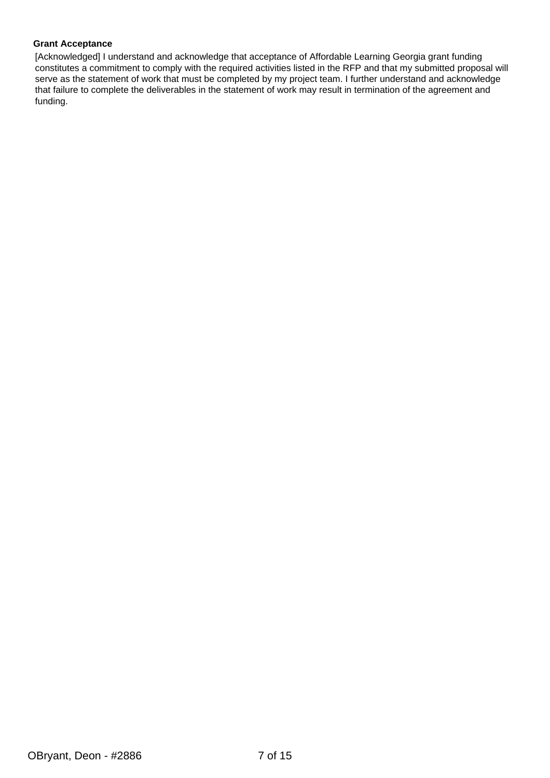#### **Grant Acceptance**

[Acknowledged] I understand and acknowledge that acceptance of Affordable Learning Georgia grant funding constitutes a commitment to comply with the required activities listed in the RFP and that my submitted proposal will serve as the statement of work that must be completed by my project team. I further understand and acknowledge that failure to complete the deliverables in the statement of work may result in termination of the agreement and funding.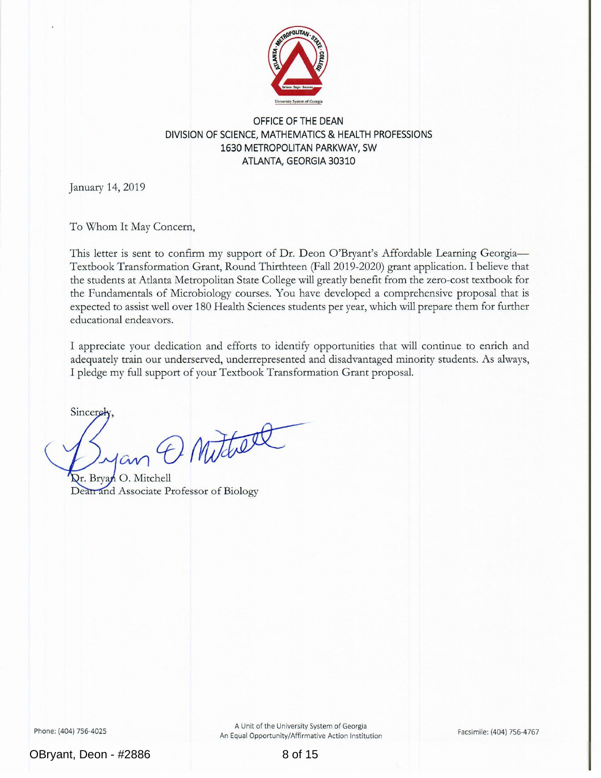

#### OFFICE OF THE DEAN DIVISION OF SCIENCE, MATHEMATICS & HEALTH PROFESSIONS 1630 METROPOLITAN PARKWAY, SW ATLANTA, GEORGIA 30310

January 14, 2019

To Whom It May Concern,

This letter is sent to confirm my support of Dr. Deon O'Bryant's Affordable Learning Georgia— Textbook Transformation Grant, Round Thirthteen (Fall 2019-2020) grant application. I believe that the students at Atlanta Metropolitan State College will greatly benefit from the zero-cost textbook for the Fundamentals of Microbiology courses. You have developed a comprehensive proposal that is expected to assist well over 180 Health Sciences students per year, which will prepare them for further educational endeavors.

I appreciate your dedication and efforts to identify opportunities that will continue to enrich and adequately train our underserved, underrepresented and disadvantaged minority students. As always, I pledge my full support of your Textbook Transformation Grant proposal.

Sincerely

O Muther

Dr. Bryan O. Mitchell Dearrand Associate Professor of Biology

Phone: (404) 756-4025

A Unit of the University System of Georgia An Equal Opportunity/Affirmative Action Institution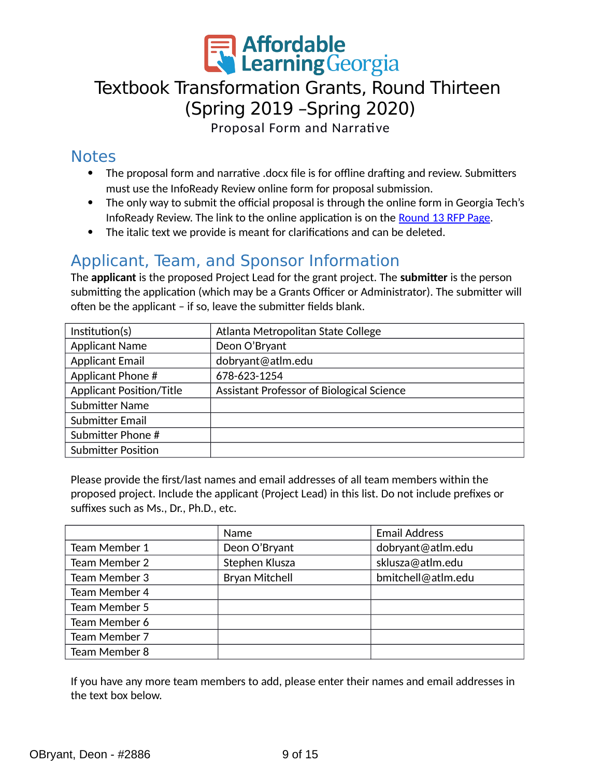

# Textbook Transformation Grants, Round Thirteen (Spring 2019 –Spring 2020)

Proposal Form and Narrative

## **Notes**

- The proposal form and narrative .docx file is for offline drafting and review. Submitters must use the InfoReady Review online form for proposal submission.
- The only way to submit the official proposal is through the online form in Georgia Tech's InfoReady Review. The link to the online application is on the [Round 13 RFP Page.](https://www.affordablelearninggeorgia.org/about/rfp_r13/)
- The italic text we provide is meant for clarifications and can be deleted.

# Applicant, Team, and Sponsor Information

The **applicant** is the proposed Project Lead for the grant project. The **submitter** is the person submitting the application (which may be a Grants Officer or Administrator). The submitter will often be the applicant – if so, leave the submitter fields blank.

| Institution(s)                  | Atlanta Metropolitan State College        |
|---------------------------------|-------------------------------------------|
| <b>Applicant Name</b>           | Deon O'Bryant                             |
| <b>Applicant Email</b>          | dobryant@atlm.edu                         |
| Applicant Phone #               | 678-623-1254                              |
| <b>Applicant Position/Title</b> | Assistant Professor of Biological Science |
| <b>Submitter Name</b>           |                                           |
| Submitter Email                 |                                           |
| Submitter Phone #               |                                           |
| <b>Submitter Position</b>       |                                           |

Please provide the first/last names and email addresses of all team members within the proposed project. Include the applicant (Project Lead) in this list. Do not include prefixes or suffixes such as Ms., Dr., Ph.D., etc.

|               | Name                  | <b>Email Address</b> |
|---------------|-----------------------|----------------------|
| Team Member 1 | Deon O'Bryant         | dobryant@atlm.edu    |
| Team Member 2 | Stephen Klusza        | sklusza@atlm.edu     |
| Team Member 3 | <b>Bryan Mitchell</b> | bmitchell@atlm.edu   |
| Team Member 4 |                       |                      |
| Team Member 5 |                       |                      |
| Team Member 6 |                       |                      |
| Team Member 7 |                       |                      |
| Team Member 8 |                       |                      |

If you have any more team members to add, please enter their names and email addresses in the text box below.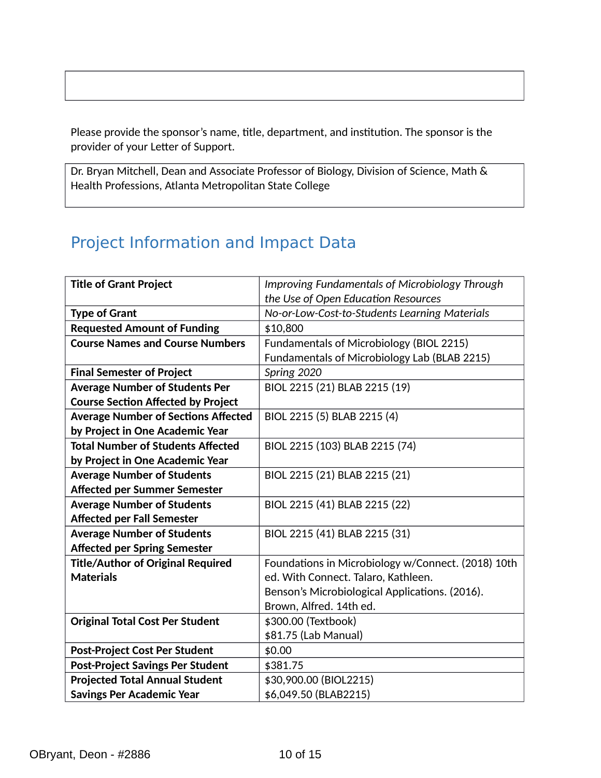Please provide the sponsor's name, title, department, and institution. The sponsor is the provider of your Letter of Support.

Dr. Bryan Mitchell, Dean and Associate Professor of Biology, Division of Science, Math & Health Professions, Atlanta Metropolitan State College

# Project Information and Impact Data

| <b>Title of Grant Project</b>              | <b>Improving Fundamentals of Microbiology Through</b> |
|--------------------------------------------|-------------------------------------------------------|
|                                            | the Use of Open Education Resources                   |
| <b>Type of Grant</b>                       | No-or-Low-Cost-to-Students Learning Materials         |
| <b>Requested Amount of Funding</b>         | \$10,800                                              |
| <b>Course Names and Course Numbers</b>     | Fundamentals of Microbiology (BIOL 2215)              |
|                                            | Fundamentals of Microbiology Lab (BLAB 2215)          |
| <b>Final Semester of Project</b>           | Spring 2020                                           |
| <b>Average Number of Students Per</b>      | BIOL 2215 (21) BLAB 2215 (19)                         |
| <b>Course Section Affected by Project</b>  |                                                       |
| <b>Average Number of Sections Affected</b> | BIOL 2215 (5) BLAB 2215 (4)                           |
| by Project in One Academic Year            |                                                       |
| <b>Total Number of Students Affected</b>   | BIOL 2215 (103) BLAB 2215 (74)                        |
| by Project in One Academic Year            |                                                       |
| <b>Average Number of Students</b>          | BIOL 2215 (21) BLAB 2215 (21)                         |
| Affected per Summer Semester               |                                                       |
| <b>Average Number of Students</b>          | BIOL 2215 (41) BLAB 2215 (22)                         |
| <b>Affected per Fall Semester</b>          |                                                       |
| <b>Average Number of Students</b>          | BIOL 2215 (41) BLAB 2215 (31)                         |
| <b>Affected per Spring Semester</b>        |                                                       |
| <b>Title/Author of Original Required</b>   | Foundations in Microbiology w/Connect. (2018) 10th    |
| <b>Materials</b>                           | ed. With Connect. Talaro, Kathleen.                   |
|                                            | Benson's Microbiological Applications. (2016).        |
|                                            | Brown, Alfred. 14th ed.                               |
| <b>Original Total Cost Per Student</b>     | \$300.00 (Textbook)                                   |
|                                            | \$81.75 (Lab Manual)                                  |
| <b>Post-Project Cost Per Student</b>       | \$0.00                                                |
| <b>Post-Project Savings Per Student</b>    | \$381.75                                              |
| <b>Projected Total Annual Student</b>      | \$30,900.00 (BIOL2215)                                |
| <b>Savings Per Academic Year</b>           | \$6,049.50 (BLAB2215)                                 |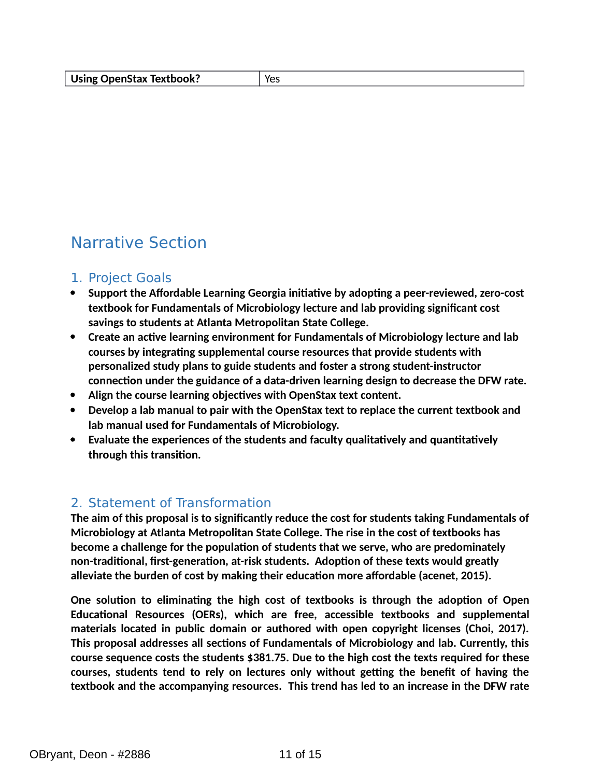# Narrative Section

## 1. Project Goals

- **Support the Affordable Learning Georgia initiative by adopting a peer-reviewed, zero-cost textbook for Fundamentals of Microbiology lecture and lab providing significant cost savings to students at Atlanta Metropolitan State College.**
- **Create an active learning environment for Fundamentals of Microbiology lecture and lab courses by integrating supplemental course resources that provide students with personalized study plans to guide students and foster a strong student-instructor connection under the guidance of a data-driven learning design to decrease the DFW rate.**
- **Align the course learning objectives with OpenStax text content.**
- **Develop a lab manual to pair with the OpenStax text to replace the current textbook and lab manual used for Fundamentals of Microbiology.**
- **Evaluate the experiences of the students and faculty qualitatively and quantitatively through this transition.**

## 2. Statement of Transformation

**The aim of this proposal is to significantly reduce the cost for students taking Fundamentals of Microbiology at Atlanta Metropolitan State College. The rise in the cost of textbooks has become a challenge for the population of students that we serve, who are predominately non-traditional, first-generation, at-risk students. Adoption of these texts would greatly alleviate the burden of cost by making their education more affordable (acenet, 2015).**

**One solution to eliminating the high cost of textbooks is through the adoption of Open Educational Resources (OERs), which are free, accessible textbooks and supplemental materials located in public domain or authored with open copyright licenses (Choi, 2017). This proposal addresses all sections of Fundamentals of Microbiology and lab. Currently, this course sequence costs the students \$381.75. Due to the high cost the texts required for these courses, students tend to rely on lectures only without getting the benefit of having the textbook and the accompanying resources. This trend has led to an increase in the DFW rate**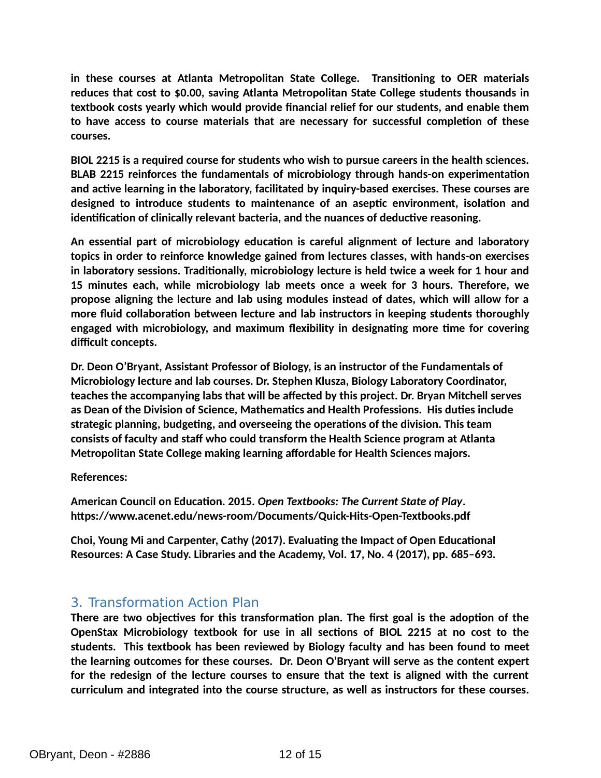**in these courses at Atlanta Metropolitan State College. Transitioning to OER materials reduces that cost to \$0.00, saving Atlanta Metropolitan State College students thousands in textbook costs yearly which would provide financial relief for our students, and enable them to have access to course materials that are necessary for successful completion of these courses.**

**BIOL 2215 is a required course for students who wish to pursue careers in the health sciences. BLAB 2215 reinforces the fundamentals of microbiology through hands-on experimentation and active learning in the laboratory, facilitated by inquiry-based exercises. These courses are designed to introduce students to maintenance of an aseptic environment, isolation and identification of clinically relevant bacteria, and the nuances of deductive reasoning.** 

**An essential part of microbiology education is careful alignment of lecture and laboratory topics in order to reinforce knowledge gained from lectures classes, with hands-on exercises in laboratory sessions. Traditionally, microbiology lecture is held twice a week for 1 hour and 15 minutes each, while microbiology lab meets once a week for 3 hours. Therefore, we propose aligning the lecture and lab using modules instead of dates, which will allow for a more fluid collaboration between lecture and lab instructors in keeping students thoroughly engaged with microbiology, and maximum flexibility in designating more time for covering difficult concepts.**

**Dr. Deon O'Bryant, Assistant Professor of Biology, is an instructor of the Fundamentals of Microbiology lecture and lab courses. Dr. Stephen Klusza, Biology Laboratory Coordinator, teaches the accompanying labs that will be affected by this project. Dr. Bryan Mitchell serves as Dean of the Division of Science, Mathematics and Health Professions. His duties include strategic planning, budgeting, and overseeing the operations of the division. This team consists of faculty and staff who could transform the Health Science program at Atlanta Metropolitan State College making learning affordable for Health Sciences majors.**

### **References:**

**American Council on Education. 2015.** *Open Textbooks: The Current State of Play***. https://www.acenet.edu/news-room/Documents/Quick-Hits-Open-Textbooks.pdf**

**Choi, Young Mi and Carpenter, Cathy (2017). Evaluating the Impact of Open Educational Resources: A Case Study. Libraries and the Academy, Vol. 17, No. 4 (2017), pp. 685–693.**

## 3. Transformation Action Plan

**There are two objectives for this transformation plan. The first goal is the adoption of the OpenStax Microbiology textbook for use in all sections of BIOL 2215 at no cost to the students. This textbook has been reviewed by Biology faculty and has been found to meet the learning outcomes for these courses. Dr. Deon O'Bryant will serve as the content expert for the redesign of the lecture courses to ensure that the text is aligned with the current curriculum and integrated into the course structure, as well as instructors for these courses.**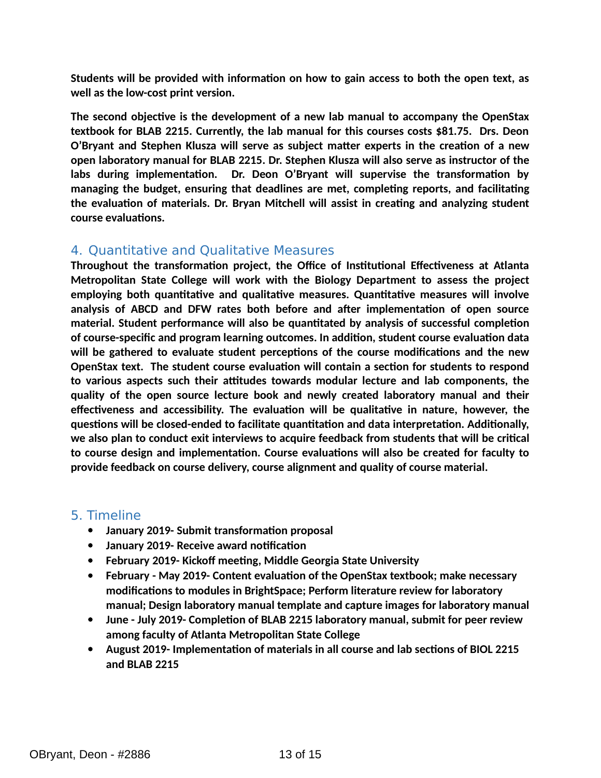**Students will be provided with information on how to gain access to both the open text, as well as the low-cost print version.**

**The second objective is the development of a new lab manual to accompany the OpenStax textbook for BLAB 2215. Currently, the lab manual for this courses costs \$81.75. Drs. Deon O'Bryant and Stephen Klusza will serve as subject matter experts in the creation of a new open laboratory manual for BLAB 2215. Dr. Stephen Klusza will also serve as instructor of the labs during implementation. Dr. Deon O'Bryant will supervise the transformation by managing the budget, ensuring that deadlines are met, completing reports, and facilitating the evaluation of materials. Dr. Bryan Mitchell will assist in creating and analyzing student course evaluations.**

## 4. Quantitative and Qualitative Measures

**Throughout the transformation project, the Office of Institutional Effectiveness at Atlanta Metropolitan State College will work with the Biology Department to assess the project employing both quantitative and qualitative measures. Quantitative measures will involve analysis of ABCD and DFW rates both before and after implementation of open source material. Student performance will also be quantitated by analysis of successful completion of course-specific and program learning outcomes. In addition, student course evaluation data will be gathered to evaluate student perceptions of the course modifications and the new OpenStax text. The student course evaluation will contain a section for students to respond to various aspects such their attitudes towards modular lecture and lab components, the quality of the open source lecture book and newly created laboratory manual and their effectiveness and accessibility. The evaluation will be qualitative in nature, however, the questions will be closed-ended to facilitate quantitation and data interpretation. Additionally, we also plan to conduct exit interviews to acquire feedback from students that will be critical to course design and implementation. Course evaluations will also be created for faculty to provide feedback on course delivery, course alignment and quality of course material.**

### 5. Timeline

- **January 2019- Submit transformation proposal**
- **January 2019- Receive award notification**
- **February 2019- Kickoff meeting, Middle Georgia State University**
- **February May 2019- Content evaluation of the OpenStax textbook; make necessary modifications to modules in BrightSpace; Perform literature review for laboratory manual; Design laboratory manual template and capture images for laboratory manual**
- **June July 2019- Completion of BLAB 2215 laboratory manual, submit for peer review among faculty of Atlanta Metropolitan State College**
- **August 2019- Implementation of materials in all course and lab sections of BIOL 2215 and BLAB 2215**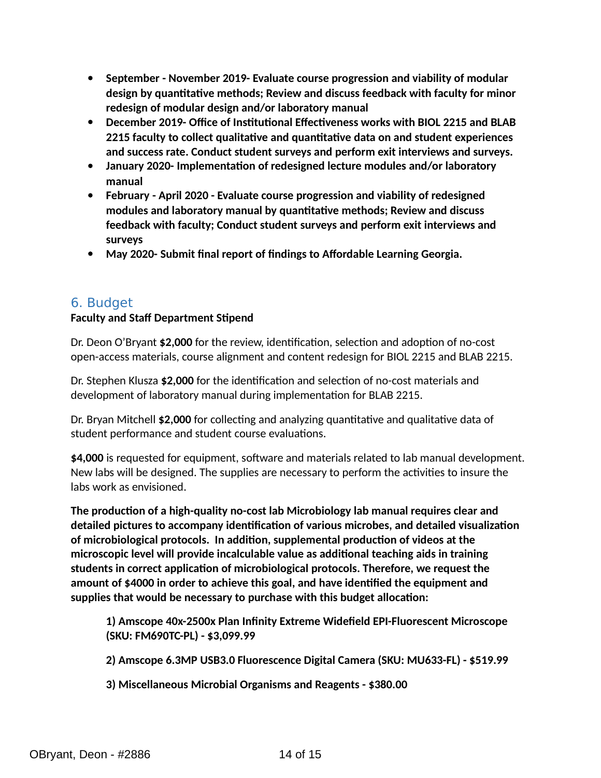- **September November 2019- Evaluate course progression and viability of modular design by quantitative methods; Review and discuss feedback with faculty for minor redesign of modular design and/or laboratory manual**
- **December 2019- Office of Institutional Effectiveness works with BIOL 2215 and BLAB 2215 faculty to collect qualitative and quantitative data on and student experiences and success rate. Conduct student surveys and perform exit interviews and surveys.**
- **January 2020- Implementation of redesigned lecture modules and/or laboratory manual**
- **February April 2020 Evaluate course progression and viability of redesigned modules and laboratory manual by quantitative methods; Review and discuss feedback with faculty; Conduct student surveys and perform exit interviews and surveys**
- **May 2020- Submit final report of findings to Affordable Learning Georgia.**

## 6. Budget

## **Faculty and Staff Department Stipend**

Dr. Deon O'Bryant **\$2,000** for the review, identification, selection and adoption of no-cost open-access materials, course alignment and content redesign for BIOL 2215 and BLAB 2215.

Dr. Stephen Klusza **\$2,000** for the identification and selection of no-cost materials and development of laboratory manual during implementation for BLAB 2215.

Dr. Bryan Mitchell **\$2,000** for collecting and analyzing quantitative and qualitative data of student performance and student course evaluations.

**\$4,000** is requested for equipment, software and materials related to lab manual development. New labs will be designed. The supplies are necessary to perform the activities to insure the labs work as envisioned.

**The production of a high-quality no-cost lab Microbiology lab manual requires clear and detailed pictures to accompany identification of various microbes, and detailed visualization of microbiological protocols. In addition, supplemental production of videos at the microscopic level will provide incalculable value as additional teaching aids in training students in correct application of microbiological protocols. Therefore, we request the amount of \$4000 in order to achieve this goal, and have identified the equipment and supplies that would be necessary to purchase with this budget allocation:**

**1) Amscope 40x-2500x Plan Infinity Extreme Widefield EPI-Fluorescent Microscope (SKU: FM690TC-PL) - \$3,099.99**

**2) Amscope 6.3MP USB3.0 Fluorescence Digital Camera (SKU: MU633-FL) - \$519.99**

**3) Miscellaneous Microbial Organisms and Reagents - \$380.00**